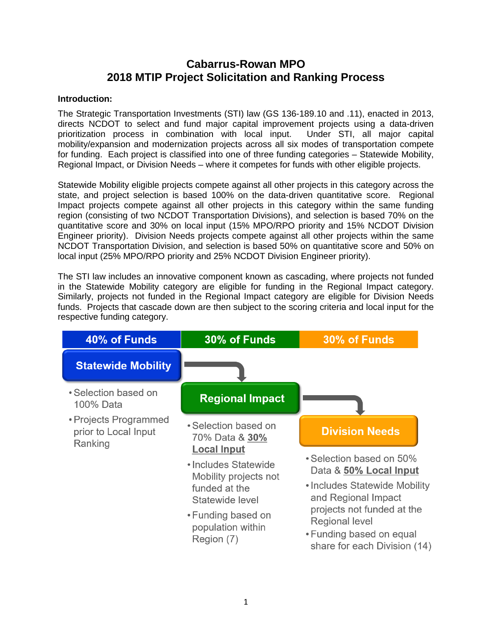## **Cabarrus-Rowan MPO 2018 MTIP Project Solicitation and Ranking Process**

#### **Introduction:**

The Strategic Transportation Investments (STI) law (GS 136-189.10 and .11), enacted in 2013, directs NCDOT to select and fund major capital improvement projects using a data-driven prioritization process in combination with local input. Under STI, all major capital mobility/expansion and modernization projects across all six modes of transportation compete for funding. Each project is classified into one of three funding categories – Statewide Mobility, Regional Impact, or Division Needs – where it competes for funds with other eligible projects.

Statewide Mobility eligible projects compete against all other projects in this category across the state, and project selection is based 100% on the data-driven quantitative score. Regional Impact projects compete against all other projects in this category within the same funding region (consisting of two NCDOT Transportation Divisions), and selection is based 70% on the quantitative score and 30% on local input (15% MPO/RPO priority and 15% NCDOT Division Engineer priority). Division Needs projects compete against all other projects within the same NCDOT Transportation Division, and selection is based 50% on quantitative score and 50% on local input (25% MPO/RPO priority and 25% NCDOT Division Engineer priority).

The STI law includes an innovative component known as cascading, where projects not funded in the Statewide Mobility category are eligible for funding in the Regional Impact category. Similarly, projects not funded in the Regional Impact category are eligible for Division Needs funds. Projects that cascade down are then subject to the scoring criteria and local input for the respective funding category.

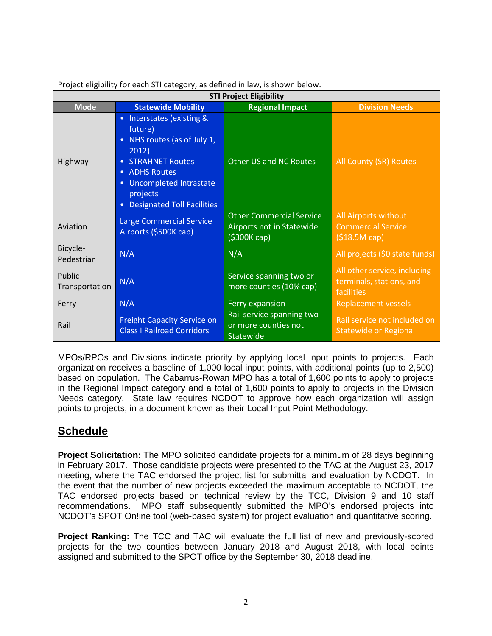| <b>STI Project Eligibility</b> |                                                                                                                         |                                                                              |                                                                        |  |  |
|--------------------------------|-------------------------------------------------------------------------------------------------------------------------|------------------------------------------------------------------------------|------------------------------------------------------------------------|--|--|
| <b>Mode</b>                    | <b>Statewide Mobility</b>                                                                                               | <b>Regional Impact</b>                                                       | <b>Division Needs</b>                                                  |  |  |
|                                | Interstates (existing &<br>$\bullet$<br>future)<br>NHS routes (as of July 1,<br>$\bullet$<br>2012)                      |                                                                              |                                                                        |  |  |
| Highway                        | <b>STRAHNET Routes</b><br><b>ADHS Routes</b><br>Uncompleted Intrastate<br>projects<br><b>Designated Toll Facilities</b> | <b>Other US and NC Routes</b>                                                | All County (SR) Routes                                                 |  |  |
| Aviation                       | <b>Large Commercial Service</b><br>Airports (\$500K cap)                                                                | <b>Other Commercial Service</b><br>Airports not in Statewide<br>(\$300K cap) | All Airports without<br><b>Commercial Service</b><br>(\$18.5M cap)     |  |  |
| Bicycle-<br>Pedestrian         | N/A                                                                                                                     | N/A                                                                          | All projects (\$0 state funds)                                         |  |  |
| Public<br>Transportation       | N/A                                                                                                                     | Service spanning two or<br>more counties (10% cap)                           | All other service, including<br>terminals, stations, and<br>facilities |  |  |
| Ferry                          | N/A                                                                                                                     | Ferry expansion                                                              | <b>Replacement vessels</b>                                             |  |  |
| Rail                           | <b>Freight Capacity Service on</b><br><b>Class I Railroad Corridors</b>                                                 | Rail service spanning two<br>or more counties not<br>Statewide               | Rail service not included on<br><b>Statewide or Regional</b>           |  |  |

Project eligibility for each STI category, as defined in law, is shown below.

MPOs/RPOs and Divisions indicate priority by applying local input points to projects. Each organization receives a baseline of 1,000 local input points, with additional points (up to 2,500) based on population. The Cabarrus-Rowan MPO has a total of 1,600 points to apply to projects in the Regional Impact category and a total of 1,600 points to apply to projects in the Division Needs category. State law requires NCDOT to approve how each organization will assign points to projects, in a document known as their Local Input Point Methodology.

# **Schedule**

**Project Solicitation:** The MPO solicited candidate projects for a minimum of 28 days beginning in February 2017. Those candidate projects were presented to the TAC at the August 23, 2017 meeting, where the TAC endorsed the project list for submittal and evaluation by NCDOT. In the event that the number of new projects exceeded the maximum acceptable to NCDOT, the TAC endorsed projects based on technical review by the TCC, Division 9 and 10 staff recommendations. MPO staff subsequently submitted the MPO's endorsed projects into MPO staff subsequently submitted the MPO's endorsed projects into NCDOT's SPOT On!ine tool (web-based system) for project evaluation and quantitative scoring.

**Project Ranking:** The TCC and TAC will evaluate the full list of new and previously-scored projects for the two counties between January 2018 and August 2018, with local points assigned and submitted to the SPOT office by the September 30, 2018 deadline.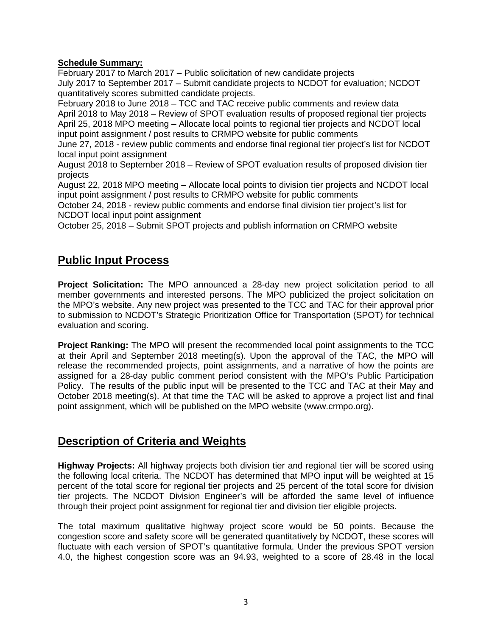### **Schedule Summary:**

February 2017 to March 2017 – Public solicitation of new candidate projects July 2017 to September 2017 – Submit candidate projects to NCDOT for evaluation; NCDOT quantitatively scores submitted candidate projects.

February 2018 to June 2018 – TCC and TAC receive public comments and review data April 2018 to May 2018 – Review of SPOT evaluation results of proposed regional tier projects April 25, 2018 MPO meeting – Allocate local points to regional tier projects and NCDOT local input point assignment / post results to CRMPO website for public comments

June 27, 2018 - review public comments and endorse final regional tier project's list for NCDOT local input point assignment

August 2018 to September 2018 – Review of SPOT evaluation results of proposed division tier projects

August 22, 2018 MPO meeting – Allocate local points to division tier projects and NCDOT local input point assignment / post results to CRMPO website for public comments

October 24, 2018 - review public comments and endorse final division tier project's list for NCDOT local input point assignment

October 25, 2018 – Submit SPOT projects and publish information on CRMPO website

# **Public Input Process**

**Project Solicitation:** The MPO announced a 28-day new project solicitation period to all member governments and interested persons. The MPO publicized the project solicitation on the MPO's website. Any new project was presented to the TCC and TAC for their approval prior to submission to NCDOT's Strategic Prioritization Office for Transportation (SPOT) for technical evaluation and scoring.

**Project Ranking:** The MPO will present the recommended local point assignments to the TCC at their April and September 2018 meeting(s). Upon the approval of the TAC, the MPO will release the recommended projects, point assignments, and a narrative of how the points are assigned for a 28-day public comment period consistent with the MPO's Public Participation Policy. The results of the public input will be presented to the TCC and TAC at their May and October 2018 meeting(s). At that time the TAC will be asked to approve a project list and final point assignment, which will be published on the MPO website (www.crmpo.org).

# **Description of Criteria and Weights**

**Highway Projects:** All highway projects both division tier and regional tier will be scored using the following local criteria. The NCDOT has determined that MPO input will be weighted at 15 percent of the total score for regional tier projects and 25 percent of the total score for division tier projects. The NCDOT Division Engineer's will be afforded the same level of influence through their project point assignment for regional tier and division tier eligible projects.

The total maximum qualitative highway project score would be 50 points. Because the congestion score and safety score will be generated quantitatively by NCDOT, these scores will fluctuate with each version of SPOT's quantitative formula. Under the previous SPOT version 4.0, the highest congestion score was an 94.93, weighted to a score of 28.48 in the local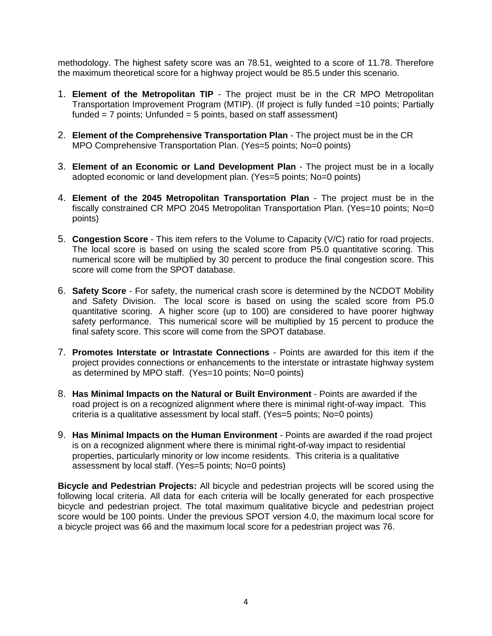methodology. The highest safety score was an 78.51, weighted to a score of 11.78. Therefore the maximum theoretical score for a highway project would be 85.5 under this scenario.

- 1. **Element of the Metropolitan TIP** The project must be in the CR MPO Metropolitan Transportation Improvement Program (MTIP). (If project is fully funded =10 points; Partially funded  $= 7$  points; Unfunded  $= 5$  points, based on staff assessment)
- 2. **Element of the Comprehensive Transportation Plan** The project must be in the CR MPO Comprehensive Transportation Plan. (Yes=5 points; No=0 points)
- 3. **Element of an Economic or Land Development Plan**  The project must be in a locally adopted economic or land development plan. (Yes=5 points; No=0 points)
- 4. **Element of the 2045 Metropolitan Transportation Plan** The project must be in the fiscally constrained CR MPO 2045 Metropolitan Transportation Plan. (Yes=10 points; No=0 points)
- 5. **Congestion Score** This item refers to the Volume to Capacity (V/C) ratio for road projects. The local score is based on using the scaled score from P5.0 quantitative scoring. This numerical score will be multiplied by 30 percent to produce the final congestion score. This score will come from the SPOT database.
- 6. **Safety Score**  For safety, the numerical crash score is determined by the NCDOT Mobility and Safety Division. The local score is based on using the scaled score from P5.0 quantitative scoring. A higher score (up to 100) are considered to have poorer highway safety performance. This numerical score will be multiplied by 15 percent to produce the final safety score. This score will come from the SPOT database.
- 7. **Promotes Interstate or Intrastate Connections** Points are awarded for this item if the project provides connections or enhancements to the interstate or intrastate highway system as determined by MPO staff. (Yes=10 points; No=0 points)
- 8. **Has Minimal Impacts on the Natural or Built Environment** Points are awarded if the road project is on a recognized alignment where there is minimal right-of-way impact. This criteria is a qualitative assessment by local staff. (Yes=5 points; No=0 points)
- 9. **Has Minimal Impacts on the Human Environment** Points are awarded if the road project is on a recognized alignment where there is minimal right-of-way impact to residential properties, particularly minority or low income residents. This criteria is a qualitative assessment by local staff. (Yes=5 points; No=0 points)

**Bicycle and Pedestrian Projects:** All bicycle and pedestrian projects will be scored using the following local criteria. All data for each criteria will be locally generated for each prospective bicycle and pedestrian project. The total maximum qualitative bicycle and pedestrian project score would be 100 points. Under the previous SPOT version 4.0, the maximum local score for a bicycle project was 66 and the maximum local score for a pedestrian project was 76.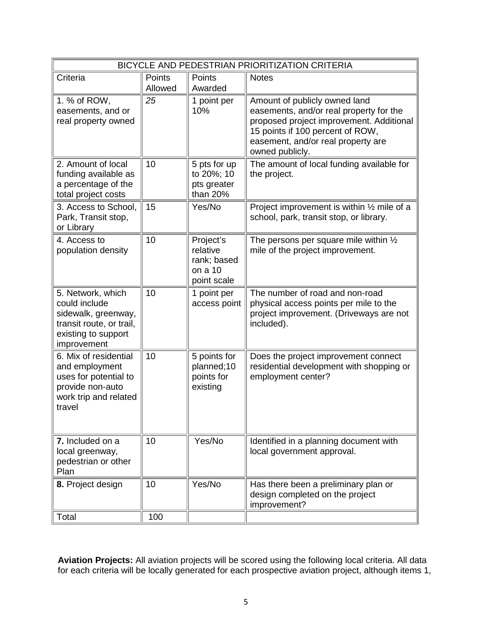| BICYCLE AND PEDESTRIAN PRIORITIZATION CRITERIA                                                                              |                   |                                                                |                                                                                                                                                                                                                   |  |
|-----------------------------------------------------------------------------------------------------------------------------|-------------------|----------------------------------------------------------------|-------------------------------------------------------------------------------------------------------------------------------------------------------------------------------------------------------------------|--|
| Criteria                                                                                                                    | Points<br>Allowed | Points<br>Awarded                                              | <b>Notes</b>                                                                                                                                                                                                      |  |
| 1. % of ROW,<br>easements, and or<br>real property owned                                                                    | 25                | 1 point per<br>10%                                             | Amount of publicly owned land<br>easements, and/or real property for the<br>proposed project improvement. Additional<br>15 points if 100 percent of ROW,<br>easement, and/or real property are<br>owned publicly. |  |
| 2. Amount of local<br>funding available as<br>a percentage of the<br>total project costs                                    | 10                | 5 pts for up<br>to 20%; 10<br>pts greater<br>than 20%          | The amount of local funding available for<br>the project.                                                                                                                                                         |  |
| 3. Access to School,<br>Park, Transit stop,<br>or Library                                                                   | 15                | Yes/No                                                         | Project improvement is within $\frac{1}{2}$ mile of a<br>school, park, transit stop, or library.                                                                                                                  |  |
| 4. Access to<br>population density                                                                                          | 10                | Project's<br>relative<br>rank; based<br>on a 10<br>point scale | The persons per square mile within $\frac{1}{2}$<br>mile of the project improvement.                                                                                                                              |  |
| 5. Network, which<br>could include<br>sidewalk, greenway,<br>transit route, or trail,<br>existing to support<br>improvement | 10                | 1 point per<br>access point                                    | The number of road and non-road<br>physical access points per mile to the<br>project improvement. (Driveways are not<br>included).                                                                                |  |
| 6. Mix of residential<br>and employment<br>uses for potential to<br>provide non-auto<br>work trip and related<br>travel     | 10                | 5 points for<br>planned;10<br>points for<br>existing           | Does the project improvement connect<br>residential development with shopping or<br>employment center?                                                                                                            |  |
| 7. Included on a<br>local greenway,<br>pedestrian or other<br>Plan                                                          | 10                | Yes/No                                                         | Identified in a planning document with<br>local government approval.                                                                                                                                              |  |
| 8. Project design                                                                                                           | 10                | Yes/No                                                         | Has there been a preliminary plan or<br>design completed on the project<br>improvement?                                                                                                                           |  |
| Total                                                                                                                       | 100               |                                                                |                                                                                                                                                                                                                   |  |

**Aviation Projects:** All aviation projects will be scored using the following local criteria. All data for each criteria will be locally generated for each prospective aviation project, although items 1,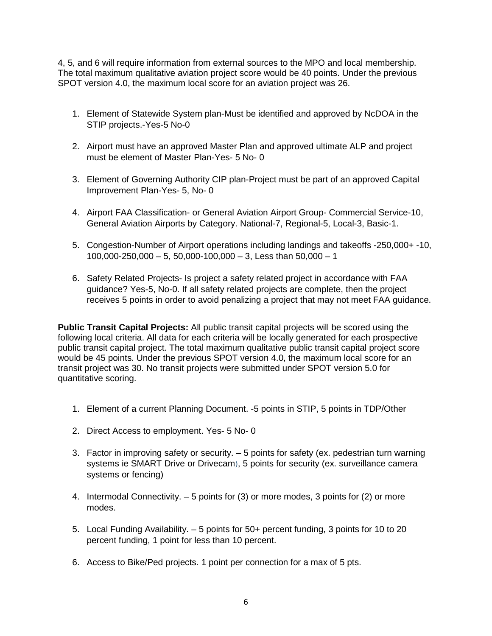4, 5, and 6 will require information from external sources to the MPO and local membership. The total maximum qualitative aviation project score would be 40 points. Under the previous SPOT version 4.0, the maximum local score for an aviation project was 26.

- 1. Element of Statewide System plan-Must be identified and approved by NcDOA in the STIP projects.-Yes-5 No-0
- 2. Airport must have an approved Master Plan and approved ultimate ALP and project must be element of Master Plan-Yes- 5 No- 0
- 3. Element of Governing Authority CIP plan-Project must be part of an approved Capital Improvement Plan-Yes- 5, No- 0
- 4. Airport FAA Classification- or General Aviation Airport Group- Commercial Service-10, General Aviation Airports by Category. National-7, Regional-5, Local-3, Basic-1.
- 5. Congestion-Number of Airport operations including landings and takeoffs -250,000+ -10,  $100,000-250,000-5, 50,000-100,000-3$ , Less than  $50,000-1$
- 6. Safety Related Projects- Is project a safety related project in accordance with FAA guidance? Yes-5, No-0. If all safety related projects are complete, then the project receives 5 points in order to avoid penalizing a project that may not meet FAA guidance.

**Public Transit Capital Projects:** All public transit capital projects will be scored using the following local criteria. All data for each criteria will be locally generated for each prospective public transit capital project. The total maximum qualitative public transit capital project score would be 45 points. Under the previous SPOT version 4.0, the maximum local score for an transit project was 30. No transit projects were submitted under SPOT version 5.0 for quantitative scoring.

- 1. Element of a current Planning Document. -5 points in STIP, 5 points in TDP/Other
- 2. Direct Access to employment. Yes- 5 No- 0
- 3. Factor in improving safety or security. 5 points for safety (ex. pedestrian turn warning systems ie SMART Drive or Drivecam), 5 points for security (ex. surveillance camera systems or fencing)
- 4. Intermodal Connectivity. 5 points for (3) or more modes, 3 points for (2) or more modes.
- 5. Local Funding Availability. 5 points for 50+ percent funding, 3 points for 10 to 20 percent funding, 1 point for less than 10 percent.
- 6. Access to Bike/Ped projects. 1 point per connection for a max of 5 pts.